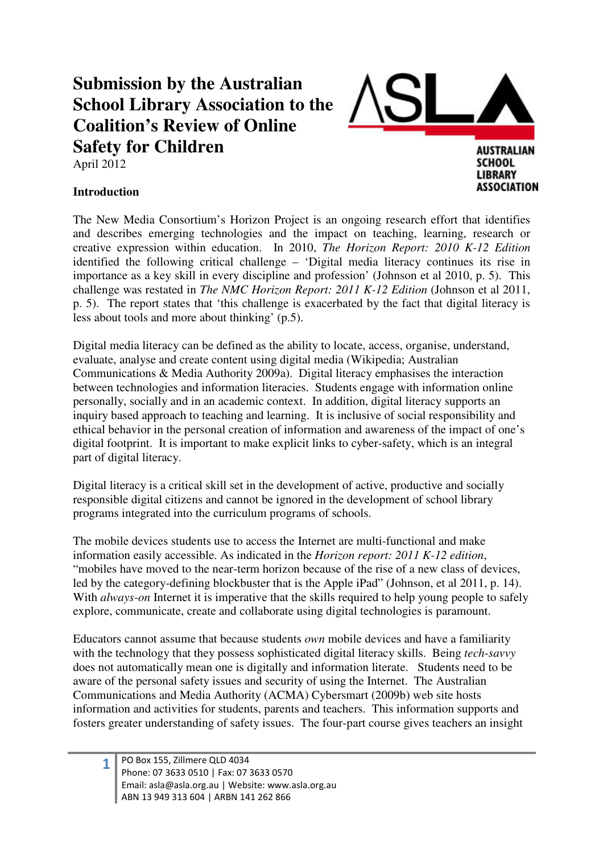# **Submission by the Australian School Library Association to the Coalition's Review of Online Safety for Children** April 2012



## **Introduction**

The New Media Consortium's Horizon Project is an ongoing research effort that identifies and describes emerging technologies and the impact on teaching, learning, research or creative expression within education. In 2010, *The Horizon Report: 2010 K-12 Edition* identified the following critical challenge – 'Digital media literacy continues its rise in importance as a key skill in every discipline and profession' (Johnson et al 2010, p. 5). This challenge was restated in *The NMC Horizon Report: 2011 K-12 Edition* (Johnson et al 2011, p. 5). The report states that 'this challenge is exacerbated by the fact that digital literacy is less about tools and more about thinking' (p.5).

Digital media literacy can be defined as the ability to locate, access, organise, understand, evaluate, analyse and create content using digital media (Wikipedia; Australian Communications & Media Authority 2009a). Digital literacy emphasises the interaction between technologies and information literacies. Students engage with information online personally, socially and in an academic context. In addition, digital literacy supports an inquiry based approach to teaching and learning. It is inclusive of social responsibility and ethical behavior in the personal creation of information and awareness of the impact of one's digital footprint. It is important to make explicit links to cyber-safety, which is an integral part of digital literacy.

Digital literacy is a critical skill set in the development of active, productive and socially responsible digital citizens and cannot be ignored in the development of school library programs integrated into the curriculum programs of schools.

The mobile devices students use to access the Internet are multi-functional and make information easily accessible. As indicated in the *Horizon report: 2011 K-12 edition*, "mobiles have moved to the near-term horizon because of the rise of a new class of devices, led by the category-defining blockbuster that is the Apple iPad" (Johnson, et al 2011, p. 14). With *always-on* Internet it is imperative that the skills required to help young people to safely explore, communicate, create and collaborate using digital technologies is paramount.

Educators cannot assume that because students *own* mobile devices and have a familiarity with the technology that they possess sophisticated digital literacy skills. Being *tech-savvy* does not automatically mean one is digitally and information literate. Students need to be aware of the personal safety issues and security of using the Internet. The Australian Communications and Media Authority (ACMA) Cybersmart (2009b) web site hosts information and activities for students, parents and teachers. This information supports and fosters greater understanding of safety issues. The four-part course gives teachers an insight

PO Box 155, Zillmere QLD 4034 Phone: 07 3633 0510 | Fax: 07 3633 0570 Email: asla@asla.org.au | Website: www.asla.org.au ABN 13 949 313 604 | ARBN 141 262 866

<sup>1</sup>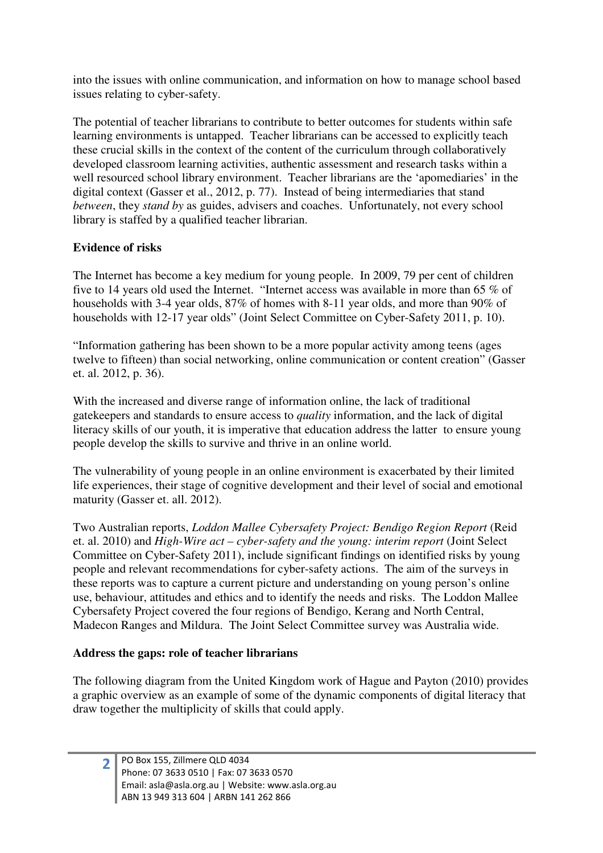into the issues with online communication, and information on how to manage school based issues relating to cyber-safety.

The potential of teacher librarians to contribute to better outcomes for students within safe learning environments is untapped. Teacher librarians can be accessed to explicitly teach these crucial skills in the context of the content of the curriculum through collaboratively developed classroom learning activities, authentic assessment and research tasks within a well resourced school library environment. Teacher librarians are the 'apomediaries' in the digital context (Gasser et al., 2012, p. 77). Instead of being intermediaries that stand *between*, they *stand by* as guides, advisers and coaches. Unfortunately, not every school library is staffed by a qualified teacher librarian.

## **Evidence of risks**

The Internet has become a key medium for young people. In 2009, 79 per cent of children five to 14 years old used the Internet. "Internet access was available in more than 65 % of households with 3-4 year olds, 87% of homes with 8-11 year olds, and more than 90% of households with 12-17 year olds" (Joint Select Committee on Cyber-Safety 2011, p. 10).

"Information gathering has been shown to be a more popular activity among teens (ages twelve to fifteen) than social networking, online communication or content creation" (Gasser et. al. 2012, p. 36).

With the increased and diverse range of information online, the lack of traditional gatekeepers and standards to ensure access to *quality* information, and the lack of digital literacy skills of our youth, it is imperative that education address the latter to ensure young people develop the skills to survive and thrive in an online world.

The vulnerability of young people in an online environment is exacerbated by their limited life experiences, their stage of cognitive development and their level of social and emotional maturity (Gasser et. all. 2012).

Two Australian reports, *Loddon Mallee Cybersafety Project: Bendigo Region Report* (Reid et. al. 2010) and *High-Wire act – cyber-safety and the young: interim report* (Joint Select Committee on Cyber-Safety 2011), include significant findings on identified risks by young people and relevant recommendations for cyber-safety actions. The aim of the surveys in these reports was to capture a current picture and understanding on young person's online use, behaviour, attitudes and ethics and to identify the needs and risks. The Loddon Mallee Cybersafety Project covered the four regions of Bendigo, Kerang and North Central, Madecon Ranges and Mildura. The Joint Select Committee survey was Australia wide.

## **Address the gaps: role of teacher librarians**

The following diagram from the United Kingdom work of Hague and Payton (2010) provides a graphic overview as an example of some of the dynamic components of digital literacy that draw together the multiplicity of skills that could apply.

 $\overline{\mathbf{z}}$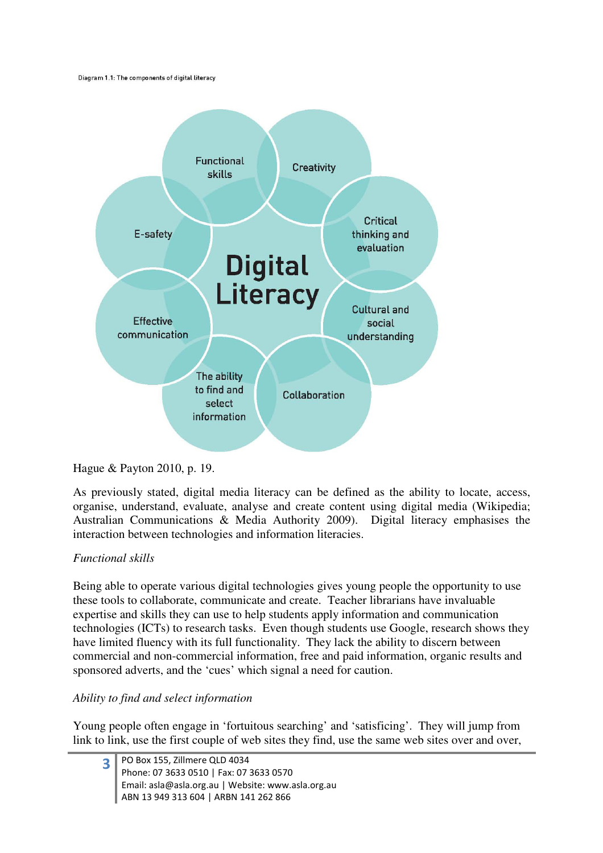Diagram 1.1: The components of digital literacy



## Hague & Payton 2010, p. 19.

As previously stated, digital media literacy can be defined as the ability to locate, access, organise, understand, evaluate, analyse and create content using digital media (Wikipedia; Australian Communications & Media Authority 2009). Digital literacy emphasises the interaction between technologies and information literacies.

## *Functional skills*

Being able to operate various digital technologies gives young people the opportunity to use these tools to collaborate, communicate and create. Teacher librarians have invaluable expertise and skills they can use to help students apply information and communication technologies (ICTs) to research tasks. Even though students use Google, research shows they have limited fluency with its full functionality. They lack the ability to discern between commercial and non-commercial information, free and paid information, organic results and sponsored adverts, and the 'cues' which signal a need for caution.

## *Ability to find and select information*

Young people often engage in 'fortuitous searching' and 'satisficing'. They will jump from link to link, use the first couple of web sites they find, use the same web sites over and over,

|  | <b>3</b> PO Box 155, Zillmere QLD 4034<br>Phone: 07 3633 0510   Fax: 07 3633 0570 |
|--|-----------------------------------------------------------------------------------|
|  | Email: asla@asla.org.au   Website: www.asla.org.au                                |
|  | ABN 13 949 313 604   ARBN 141 262 866                                             |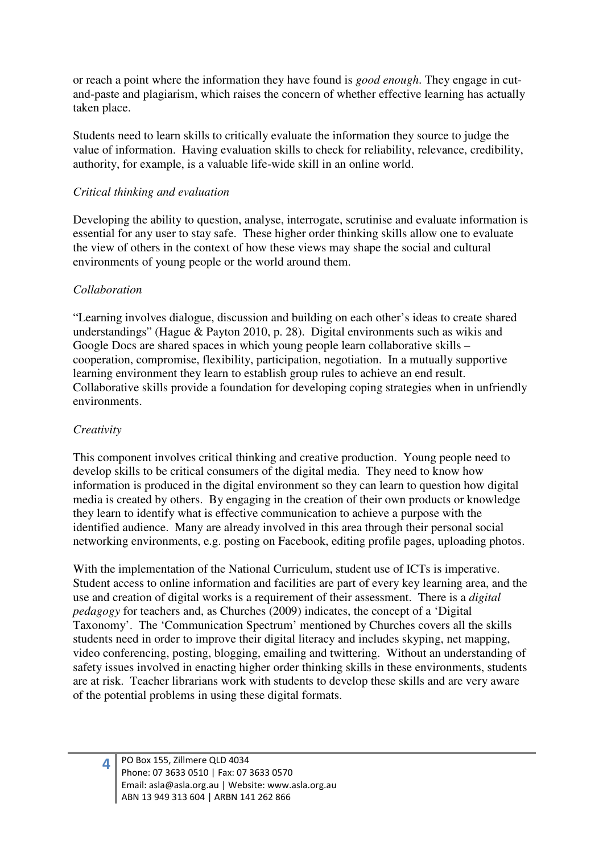or reach a point where the information they have found is *good enough*. They engage in cutand-paste and plagiarism, which raises the concern of whether effective learning has actually taken place.

Students need to learn skills to critically evaluate the information they source to judge the value of information. Having evaluation skills to check for reliability, relevance, credibility, authority, for example, is a valuable life-wide skill in an online world.

#### *Critical thinking and evaluation*

Developing the ability to question, analyse, interrogate, scrutinise and evaluate information is essential for any user to stay safe. These higher order thinking skills allow one to evaluate the view of others in the context of how these views may shape the social and cultural environments of young people or the world around them.

#### *Collaboration*

"Learning involves dialogue, discussion and building on each other's ideas to create shared understandings" (Hague & Payton 2010, p. 28). Digital environments such as wikis and Google Docs are shared spaces in which young people learn collaborative skills – cooperation, compromise, flexibility, participation, negotiation. In a mutually supportive learning environment they learn to establish group rules to achieve an end result. Collaborative skills provide a foundation for developing coping strategies when in unfriendly environments.

#### *Creativity*

This component involves critical thinking and creative production. Young people need to develop skills to be critical consumers of the digital media. They need to know how information is produced in the digital environment so they can learn to question how digital media is created by others. By engaging in the creation of their own products or knowledge they learn to identify what is effective communication to achieve a purpose with the identified audience. Many are already involved in this area through their personal social networking environments, e.g. posting on Facebook, editing profile pages, uploading photos.

With the implementation of the National Curriculum, student use of ICTs is imperative. Student access to online information and facilities are part of every key learning area, and the use and creation of digital works is a requirement of their assessment. There is a *digital pedagogy* for teachers and, as Churches (2009) indicates, the concept of a 'Digital Taxonomy'. The 'Communication Spectrum' mentioned by Churches covers all the skills students need in order to improve their digital literacy and includes skyping, net mapping, video conferencing, posting, blogging, emailing and twittering. Without an understanding of safety issues involved in enacting higher order thinking skills in these environments, students are at risk. Teacher librarians work with students to develop these skills and are very aware of the potential problems in using these digital formats.

4

PO Box 155, Zillmere QLD 4034 Phone: 07 3633 0510 | Fax: 07 3633 0570 Email: asla@asla.org.au | Website: www.asla.org.au ABN 13 949 313 604 | ARBN 141 262 866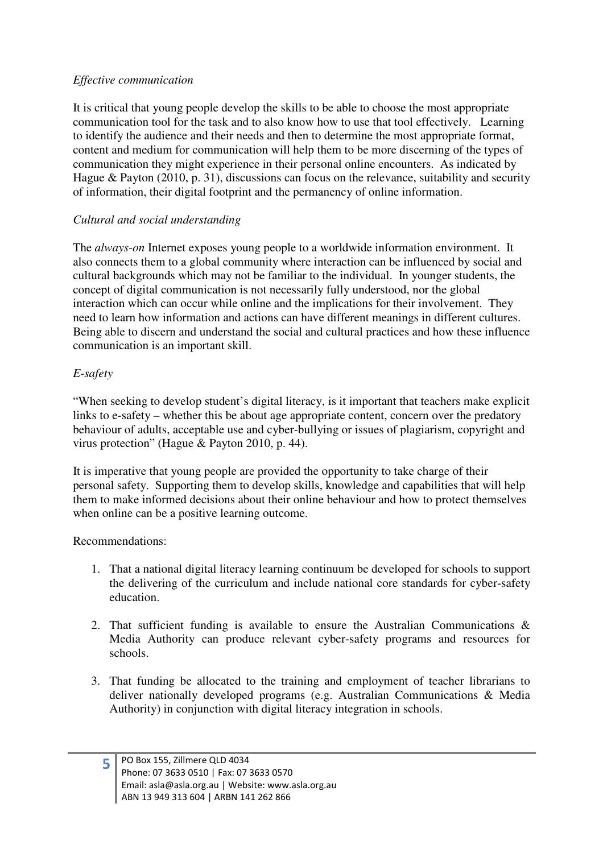#### *Effective communication*

It is critical that young people develop the skills to be able to choose the most appropriate communication tool for the task and to also know how to use that tool effectively. Learning to identify the audience and their needs and then to determine the most appropriate format, content and medium for communication will help them to be more discerning of the types of communication they might experience in their personal online encounters. As indicated by Hague  $\&$  Payton (2010, p. 31), discussions can focus on the relevance, suitability and security of information, their digital footprint and the permanency of online information.

### *Cultural and social understanding*

The *always-on* Internet exposes young people to a worldwide information environment. It also connects them to a global community where interaction can be influenced by social and cultural backgrounds which may not be familiar to the individual. In younger students, the concept of digital communication is not necessarily fully understood, nor the global interaction which can occur while online and the implications for their involvement. They need to learn how information and actions can have different meanings in different cultures. Being able to discern and understand the social and cultural practices and how these influence communication is an important skill.

## *E-safety*

"When seeking to develop student's digital literacy, is it important that teachers make explicit links to e-safety – whether this be about age appropriate content, concern over the predatory behaviour of adults, acceptable use and cyber-bullying or issues of plagiarism, copyright and virus protection" (Hague & Payton 2010, p. 44).

It is imperative that young people are provided the opportunity to take charge of their personal safety. Supporting them to develop skills, knowledge and capabilities that will help them to make informed decisions about their online behaviour and how to protect themselves when online can be a positive learning outcome.

#### Recommendations:

- 1. That a national digital literacy learning continuum be developed for schools to support the delivering of the curriculum and include national core standards for cyber-safety education.
- 2. That sufficient funding is available to ensure the Australian Communications & Media Authority can produce relevant cyber-safety programs and resources for schools.
- 3. That funding be allocated to the training and employment of teacher librarians to deliver nationally developed programs (e.g. Australian Communications & Media Authority) in conjunction with digital literacy integration in schools.